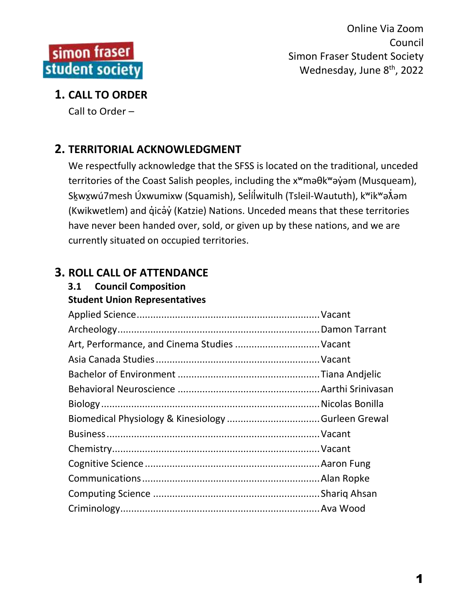

## **1. CALL TO ORDER**

Call to Order –

# **2. TERRITORIAL ACKNOWLEDGMENT**

We respectfully acknowledge that the SFSS is located on the traditional, unceded territories of the Coast Salish peoples, including the x<sup>w</sup>maθk<sup>w</sup>aγ jom (Musqueam), Skwxwú7mesh Úxwumixw (Squamish), Selílwitulh (Tsleil-Waututh), k<sup>w</sup>ik<sup>w</sup>ən m (Kwikwetlem) and q̓icə̓y̓(Katzie) Nations. Unceded means that these territories have never been handed over, sold, or given up by these nations, and we are currently situated on occupied territories.

## **3. ROLL CALL OF ATTENDANCE**

# **3.1 Council Composition**

**Student Union Representatives**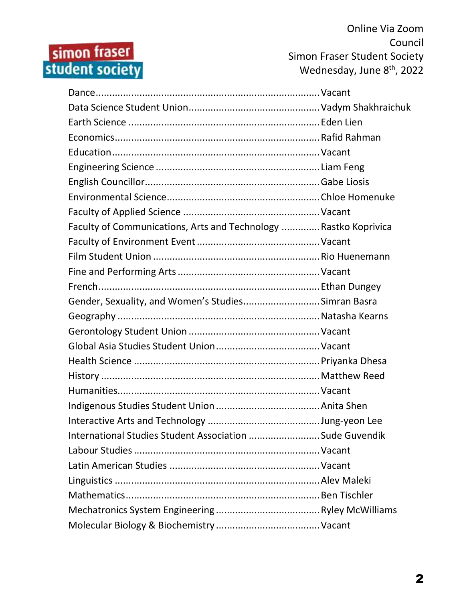# simon fraser<br>student society

Online Via Zoom Council Simon Fraser Student Society Wednesday, June 8<sup>th</sup>, 2022

| Faculty of Communications, Arts and Technology  Rastko Koprivica |  |
|------------------------------------------------------------------|--|
|                                                                  |  |
|                                                                  |  |
|                                                                  |  |
|                                                                  |  |
| Gender, Sexuality, and Women's StudiesSimran Basra               |  |
|                                                                  |  |
|                                                                  |  |
|                                                                  |  |
|                                                                  |  |
|                                                                  |  |
|                                                                  |  |
|                                                                  |  |
|                                                                  |  |
| International Studies Student Association Sude Guvendik          |  |
|                                                                  |  |
|                                                                  |  |
|                                                                  |  |
|                                                                  |  |
|                                                                  |  |
|                                                                  |  |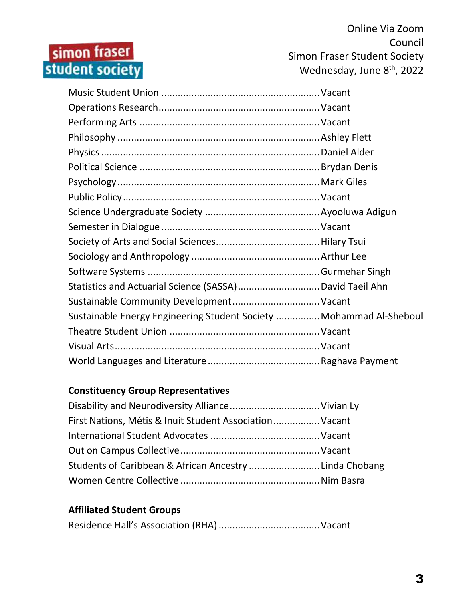# simon fraser<br>student society

Online Via Zoom Council Simon Fraser Student Society Wednesday, June 8<sup>th</sup>, 2022

| Sustainable Community Development Vacant                            |  |
|---------------------------------------------------------------------|--|
| Sustainable Energy Engineering Student Society  Mohammad Al-Sheboul |  |
|                                                                     |  |
|                                                                     |  |
|                                                                     |  |

#### **Constituency Group Representatives**

| First Nations, Métis & Inuit Student Association Vacant |  |
|---------------------------------------------------------|--|
|                                                         |  |
|                                                         |  |
| Students of Caribbean & African Ancestry Linda Chobang  |  |
|                                                         |  |

#### **Affiliated Student Groups**

|--|--|--|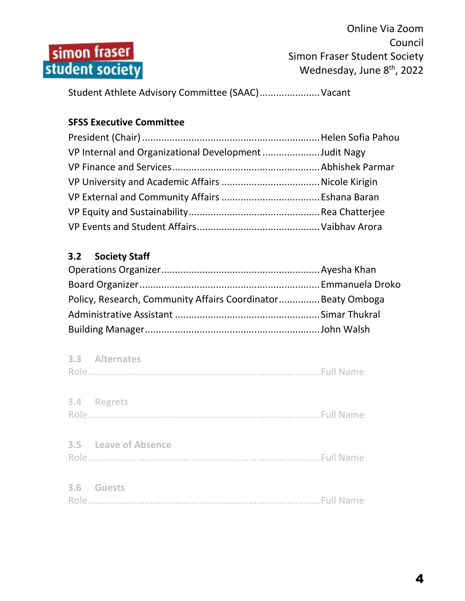

Student Athlete Advisory Committee (SAAC)......................Vacant

#### **SFSS Executive Committee**

| VP Internal and Organizational Development Judit Nagy |  |
|-------------------------------------------------------|--|
|                                                       |  |
|                                                       |  |
|                                                       |  |
|                                                       |  |
|                                                       |  |

### **3.2 Society Staff**

| Policy, Research, Community Affairs Coordinator Beaty Omboga |  |
|--------------------------------------------------------------|--|
|                                                              |  |
|                                                              |  |

| 3.3 Alternates       |  |
|----------------------|--|
| 3.4 Regrets          |  |
| 3.5 Leave of Absence |  |
| 3.6 Guests           |  |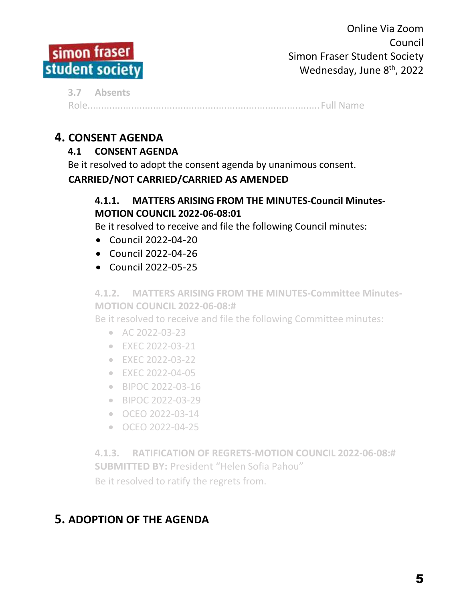

**3.7 Absents** Role.....................................................................................Full Name

## **4. CONSENT AGENDA**

### **4.1 CONSENT AGENDA**

Be it resolved to adopt the consent agenda by unanimous consent.

#### **CARRIED/NOT CARRIED/CARRIED AS AMENDED**

#### **4.1.1. MATTERS ARISING FROM THE MINUTES-Council Minutes-MOTION COUNCIL 2022-06-08:01**

Be it resolved to receive and file the following Council minutes:

- Council 2022-04-20
- Council 2022-04-26
- Council 2022-05-25

**4.1.2. MATTERS ARISING FROM THE MINUTES-Committee Minutes-MOTION COUNCIL 2022-06-08:#**

Be it resolved to receive and file the following Committee minutes:

- $\bullet$  AC 2022-03-23
- EXEC 2022-03-21
- EXEC 2022-03-22
- EXEC 2022-04-05
- BIPOC 2022-03-16
- BIPOC 2022-03-29
- OCEO 2022-03-14
- OCEO 2022-04-25

**4.1.3. RATIFICATION OF REGRETS-MOTION COUNCIL 2022-06-08:# SUBMITTED BY:** President "Helen Sofia Pahou" Be it resolved to ratify the regrets from.

# **5. ADOPTION OF THE AGENDA**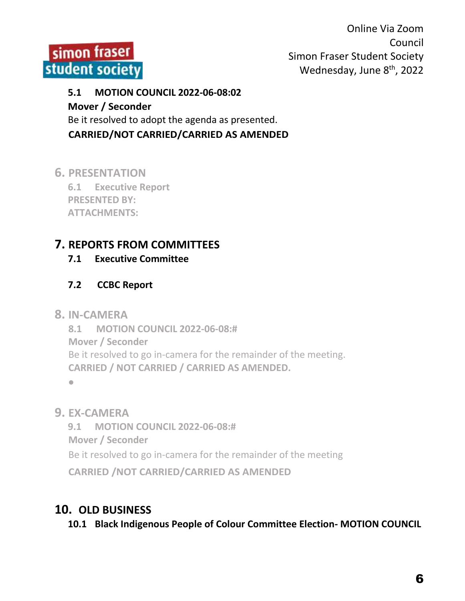

# **5.1 MOTION COUNCIL 2022-06-08:02 Mover / Seconder**

Be it resolved to adopt the agenda as presented.

**CARRIED/NOT CARRIED/CARRIED AS AMENDED**

**6. PRESENTATION**

**6.1 Executive Report PRESENTED BY: ATTACHMENTS:**

# **7. REPORTS FROM COMMITTEES**

## **7.1 Executive Committee**

## **7.2 CCBC Report**

**8. IN-CAMERA**

**8.1 MOTION COUNCIL 2022-06-08:# Mover / Seconder** Be it resolved to go in-camera for the remainder of the meeting. **CARRIED / NOT CARRIED / CARRIED AS AMENDED.**

 $\bullet$ 

**9. EX-CAMERA**

**9.1 MOTION COUNCIL 2022-06-08:#**

**Mover / Seconder**

Be it resolved to go in-camera for the remainder of the meeting

**CARRIED /NOT CARRIED/CARRIED AS AMENDED**

# **10. OLD BUSINESS**

**10.1 Black Indigenous People of Colour Committee Election- MOTION COUNCIL**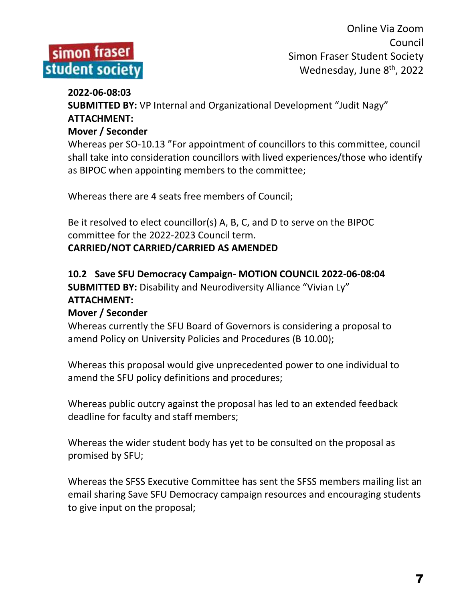

#### **2022-06-08:03**

**SUBMITTED BY:** VP Internal and Organizational Development "Judit Nagy" **ATTACHMENT:**

#### **Mover / Seconder**

Whereas per SO-10.13 "For appointment of councillors to this committee, council shall take into consideration councillors with lived experiences/those who identify as BIPOC when appointing members to the committee;

Whereas there are 4 seats free members of Council;

Be it resolved to elect councillor(s) A, B, C, and D to serve on the BIPOC committee for the 2022-2023 Council term.

#### **CARRIED/NOT CARRIED/CARRIED AS AMENDED**

#### **10.2 Save SFU Democracy Campaign- MOTION COUNCIL 2022-06-08:04 SUBMITTED BY: Disability and Neurodiversity Alliance "Vivian Ly" ATTACHMENT:**

#### **Mover / Seconder**

Whereas currently the SFU Board of Governors is considering a proposal to amend Policy on University Policies and Procedures (B 10.00);

Whereas this proposal would give unprecedented power to one individual to amend the SFU policy definitions and procedures;

Whereas public outcry against the proposal has led to an extended feedback deadline for faculty and staff members;

Whereas the wider student body has yet to be consulted on the proposal as promised by SFU;

Whereas the SFSS Executive Committee has sent the SFSS members mailing list an email sharing Save SFU Democracy campaign resources and encouraging students to give input on the proposal;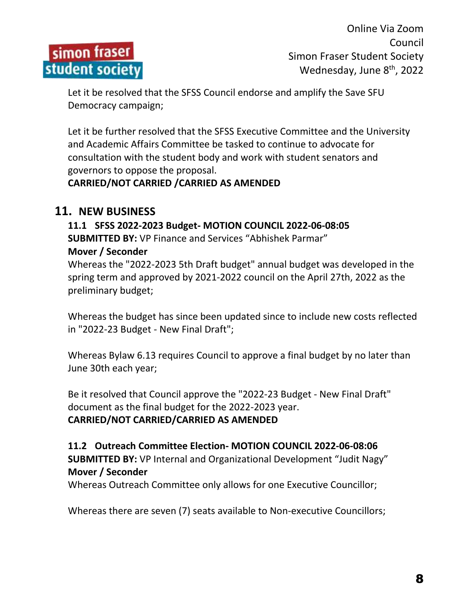

Let it be resolved that the SFSS Council endorse and amplify the Save SFU Democracy campaign;

Let it be further resolved that the SFSS Executive Committee and the University and Academic Affairs Committee be tasked to continue to advocate for consultation with the student body and work with student senators and governors to oppose the proposal.

#### **CARRIED/NOT CARRIED /CARRIED AS AMENDED**

#### **11. NEW BUSINESS**

**11.1 SFSS 2022-2023 Budget- MOTION COUNCIL 2022-06-08:05 SUBMITTED BY:** VP Finance and Services "Abhishek Parmar" **Mover / Seconder**

Whereas the "2022-2023 5th Draft budget" annual budget was developed in the spring term and approved by 2021-2022 council on the April 27th, 2022 as the preliminary budget;

Whereas the budget has since been updated since to include new costs reflected in "2022-23 Budget - New Final Draft";

Whereas Bylaw 6.13 requires Council to approve a final budget by no later than June 30th each year;

Be it resolved that Council approve the "2022-23 Budget - New Final Draft" document as the final budget for the 2022-2023 year.

**CARRIED/NOT CARRIED/CARRIED AS AMENDED**

**11.2 Outreach Committee Election- MOTION COUNCIL 2022-06-08:06 SUBMITTED BY:** VP Internal and Organizational Development "Judit Nagy" **Mover / Seconder**

Whereas Outreach Committee only allows for one Executive Councillor;

Whereas there are seven (7) seats available to Non-executive Councillors;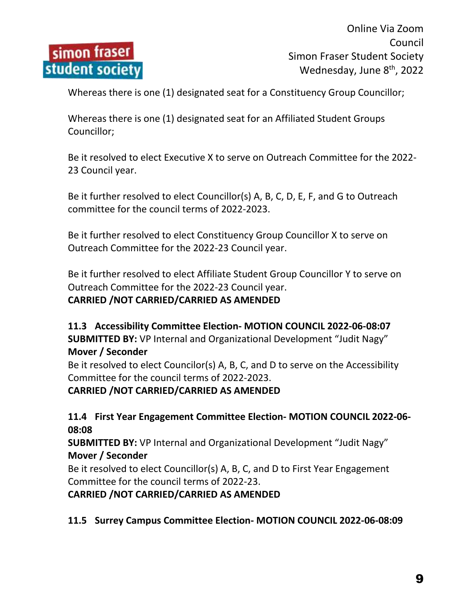

Whereas there is one (1) designated seat for a Constituency Group Councillor;

Whereas there is one (1) designated seat for an Affiliated Student Groups Councillor;

Be it resolved to elect Executive X to serve on Outreach Committee for the 2022- 23 Council year.

Be it further resolved to elect Councillor(s) A, B, C, D, E, F, and G to Outreach committee for the council terms of 2022-2023.

Be it further resolved to elect Constituency Group Councillor X to serve on Outreach Committee for the 2022-23 Council year.

Be it further resolved to elect Affiliate Student Group Councillor Y to serve on Outreach Committee for the 2022-23 Council year. **CARRIED /NOT CARRIED/CARRIED AS AMENDED**

#### **11.3 Accessibility Committee Election- MOTION COUNCIL 2022-06-08:07 SUBMITTED BY:** VP Internal and Organizational Development "Judit Nagy" **Mover / Seconder**

Be it resolved to elect Councilor(s) A, B, C, and D to serve on the Accessibility Committee for the council terms of 2022-2023.

**CARRIED /NOT CARRIED/CARRIED AS AMENDED**

#### **11.4 First Year Engagement Committee Election- MOTION COUNCIL 2022-06- 08:08**

**SUBMITTED BY:** VP Internal and Organizational Development "Judit Nagy" **Mover / Seconder**

Be it resolved to elect Councillor(s) A, B, C, and D to First Year Engagement Committee for the council terms of 2022-23.

**CARRIED /NOT CARRIED/CARRIED AS AMENDED**

**11.5 Surrey Campus Committee Election- MOTION COUNCIL 2022-06-08:09**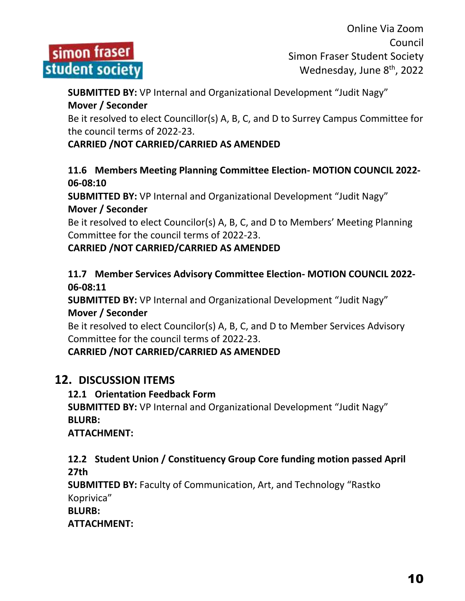

**SUBMITTED BY:** VP Internal and Organizational Development "Judit Nagy" **Mover / Seconder**

Be it resolved to elect Councillor(s) A, B, C, and D to Surrey Campus Committee for the council terms of 2022-23.

#### **CARRIED /NOT CARRIED/CARRIED AS AMENDED**

#### **11.6 Members Meeting Planning Committee Election- MOTION COUNCIL 2022- 06-08:10**

**SUBMITTED BY:** VP Internal and Organizational Development "Judit Nagy" **Mover / Seconder**

Be it resolved to elect Councilor(s) A, B, C, and D to Members' Meeting Planning Committee for the council terms of 2022-23.

#### **CARRIED /NOT CARRIED/CARRIED AS AMENDED**

#### **11.7 Member Services Advisory Committee Election- MOTION COUNCIL 2022- 06-08:11**

**SUBMITTED BY:** VP Internal and Organizational Development "Judit Nagy" **Mover / Seconder**

Be it resolved to elect Councilor(s) A, B, C, and D to Member Services Advisory Committee for the council terms of 2022-23.

**CARRIED /NOT CARRIED/CARRIED AS AMENDED**

## **12. DISCUSSION ITEMS**

#### **12.1 Orientation Feedback Form**

**SUBMITTED BY:** VP Internal and Organizational Development "Judit Nagy" **BLURB:** 

**ATTACHMENT:**

#### **12.2 Student Union / Constituency Group Core funding motion passed April 27th**

**SUBMITTED BY:** Faculty of Communication, Art, and Technology "Rastko Koprivica"

**BLURB:** 

**ATTACHMENT:**